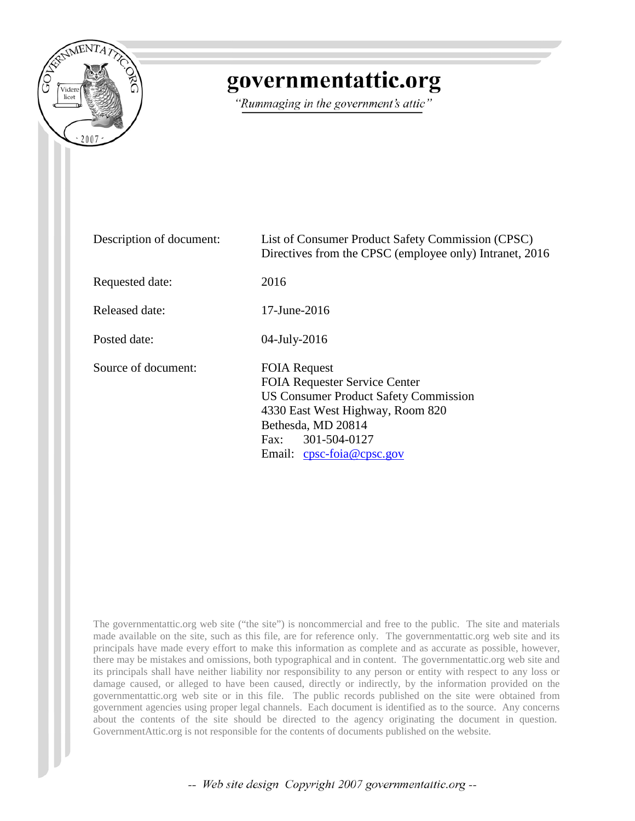

# governmentattic.org

"Rummaging in the government's attic"

| Description of document: | List of Consumer Product Safety Commission (CPSC)<br>Directives from the CPSC (employee only) Intranet, 2016                                                                                                        |
|--------------------------|---------------------------------------------------------------------------------------------------------------------------------------------------------------------------------------------------------------------|
| Requested date:          | 2016                                                                                                                                                                                                                |
| Released date:           | $17$ -June- $2016$                                                                                                                                                                                                  |
| Posted date:             | 04-July-2016                                                                                                                                                                                                        |
| Source of document:      | <b>FOIA Request</b><br><b>FOIA Requester Service Center</b><br>US Consumer Product Safety Commission<br>4330 East West Highway, Room 820<br>Bethesda, MD 20814<br>301-504-0127<br>Fax:<br>Email: cpsc-foia@cpsc.gov |

The governmentattic.org web site ("the site") is noncommercial and free to the public. The site and materials made available on the site, such as this file, are for reference only. The governmentattic.org web site and its principals have made every effort to make this information as complete and as accurate as possible, however, there may be mistakes and omissions, both typographical and in content. The governmentattic.org web site and its principals shall have neither liability nor responsibility to any person or entity with respect to any loss or damage caused, or alleged to have been caused, directly or indirectly, by the information provided on the governmentattic.org web site or in this file. The public records published on the site were obtained from government agencies using proper legal channels. Each document is identified as to the source. Any concerns about the contents of the site should be directed to the agency originating the document in question. GovernmentAttic.org is not responsible for the contents of documents published on the website.

-- Web site design Copyright 2007 governmentattic.org --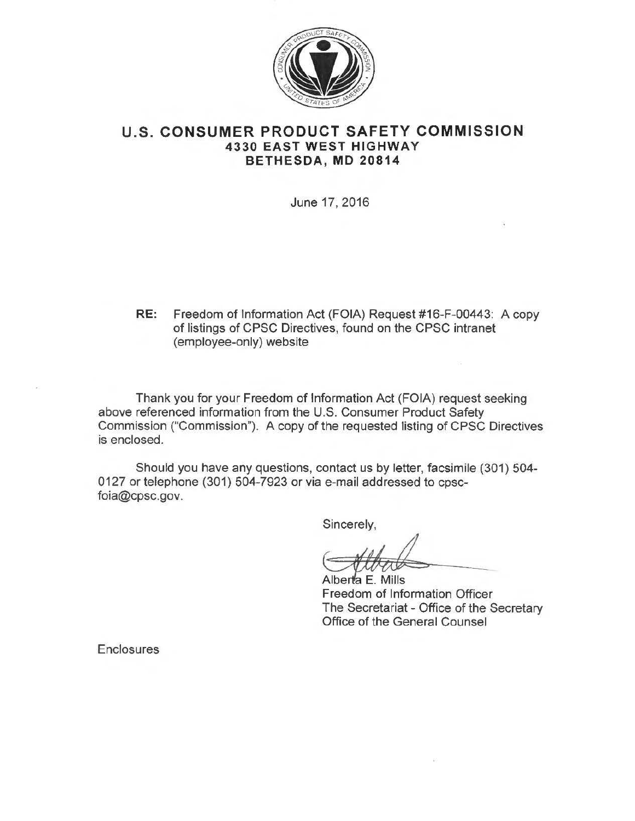

#### **U.S. CONSUMER PRODUCT SAFETY COMMISSION 4330 EAST WEST HIGHWAY BETHESDA, MD 20814**

June 17, 2016

**RE:** Freedom of Information Act (FOIA) Request #16-F-00443: A copy of listings of CPSC Directives, found on the CPSC intranet (employee-only) website

Thank you for your Freedom of Information Act (FOIA) request seeking above referenced information from the U.S. Consumer Product Safety Commission ("Commission"). A copy of the requested listing of CPSC Directives is enclosed.

Should you have any questions, contact us by letter, facsimile (301) 504- 0127 or telephone (301) 504-7923 or via e-mail addressed to cpscfoia@cpsc.gov.

Sincerely,

---

Alberta E. Mills Freedom of Information Officer The Secretariat - Office of the Secretary Office of the General Counsel

**Enclosures**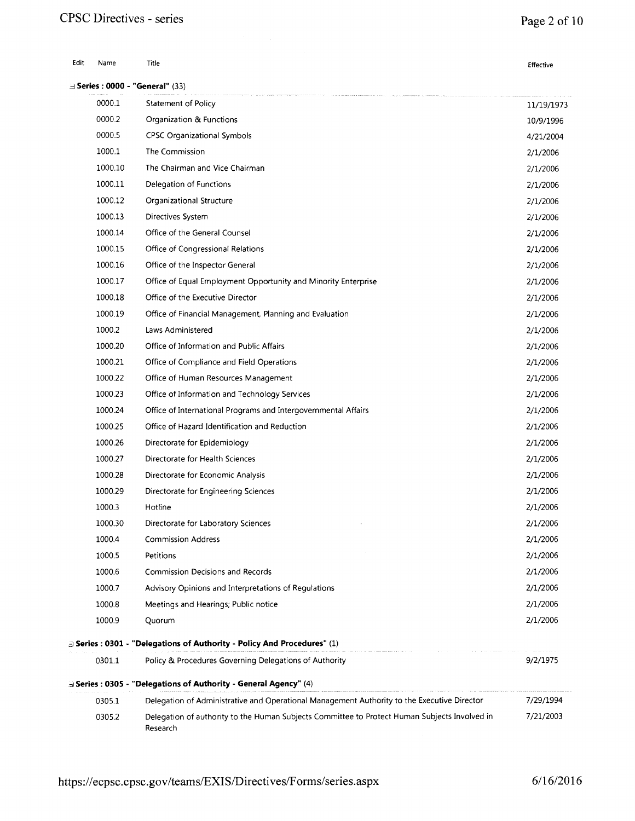# **CPSC Directives - series**

## **Page 2of10**

| Edit | Name    | Title                                                                                                     | Effective  |
|------|---------|-----------------------------------------------------------------------------------------------------------|------------|
|      |         | <b>Exeries: 0000 - "General" (33)</b>                                                                     |            |
|      | 0000.1  | Statement of Policy                                                                                       | 11/19/1973 |
|      | 0000.2  | Organization & Functions                                                                                  | 10/9/1996  |
|      | 0000.5  | <b>CPSC Organizational Symbols</b>                                                                        | 4/21/2004  |
|      | 1000.1  | The Commission                                                                                            | 2/1/2006   |
|      | 1000.10 | The Chairman and Vice Chairman                                                                            | 2/1/2006   |
|      | 1000.11 | Delegation of Functions                                                                                   | 2/1/2006   |
|      | 1000.12 | Organizational Structure                                                                                  | 2/1/2006   |
|      | 1000.13 | Directives System                                                                                         | 2/1/2006   |
|      | 1000.14 | Office of the General Counsel                                                                             | 2/1/2006   |
|      | 1000.15 | Office of Congressional Relations                                                                         | 2/1/2006   |
|      | 1000.16 | Office of the Inspector General                                                                           | 2/1/2006   |
|      | 1000.17 | Office of Equal Employment Opportunity and Minority Enterprise                                            | 2/1/2006   |
|      | 1000.18 | Office of the Executive Director                                                                          | 2/1/2006   |
|      | 1000.19 | Office of Financial Management, Planning and Evaluation                                                   | 2/1/2006   |
|      | 1000.2  | Laws Administered                                                                                         | 2/1/2006   |
|      | 1000.20 | Office of Information and Public Affairs                                                                  | 2/1/2006   |
|      | 1000.21 | Office of Compliance and Field Operations                                                                 | 2/1/2006   |
|      | 1000.22 | Office of Human Resources Management                                                                      | 2/1/2006   |
|      | 1000.23 | Office of Information and Technology Services                                                             | 2/1/2006   |
|      | 1000.24 | Office of International Programs and Intergovernmental Affairs                                            | 2/1/2006   |
|      | 1000.25 | Office of Hazard Identification and Reduction                                                             | 2/1/2006   |
|      | 1000.26 | Directorate for Epidemiology                                                                              | 2/1/2006   |
|      | 1000.27 | Directorate for Health Sciences                                                                           | 2/1/2006   |
|      | 1000.28 | Directorate for Economic Analysis                                                                         | 2/1/2006   |
|      | 1000.29 | Directorate for Engineering Sciences                                                                      | 2/1/2006   |
|      | 1000.3  | Hotline                                                                                                   | 2/1/2006   |
|      | 1000.30 | Directorate for Laboratory Sciences                                                                       | 2/1/2006   |
|      | 1000.4  | <b>Commission Address</b>                                                                                 | 2/1/2006   |
|      | 1000.5  | Petitions                                                                                                 | 2/1/2006   |
|      | 1000.6  | <b>Commission Decisions and Records</b>                                                                   | 2/1/2006   |
|      | 1000.7  | Advisory Opinions and Interpretations of Regulations                                                      | 2/1/2006   |
|      | 1000.8  | Meetings and Hearings; Public notice                                                                      | 2/1/2006   |
|      | 1000.9  | Quorum                                                                                                    | 2/1/2006   |
|      |         | ∃ Series : 0301 - "Delegations of Authority - Policy And Procedures" (1)                                  |            |
|      | 0301.1  | Policy & Procedures Governing Delegations of Authority                                                    | 9/2/1975   |
|      |         | 3 Series : 0305 - "Delegations of Authority - General Agency" (4)                                         |            |
|      | 0305.1  | Delegation of Administrative and Operational Management Authority to the Executive Director               | 7/29/1994  |
|      | 0305.2  | Delegation of authority to the Human Subjects Committee to Protect Human Subjects Involved in<br>Research | 7/21/2003  |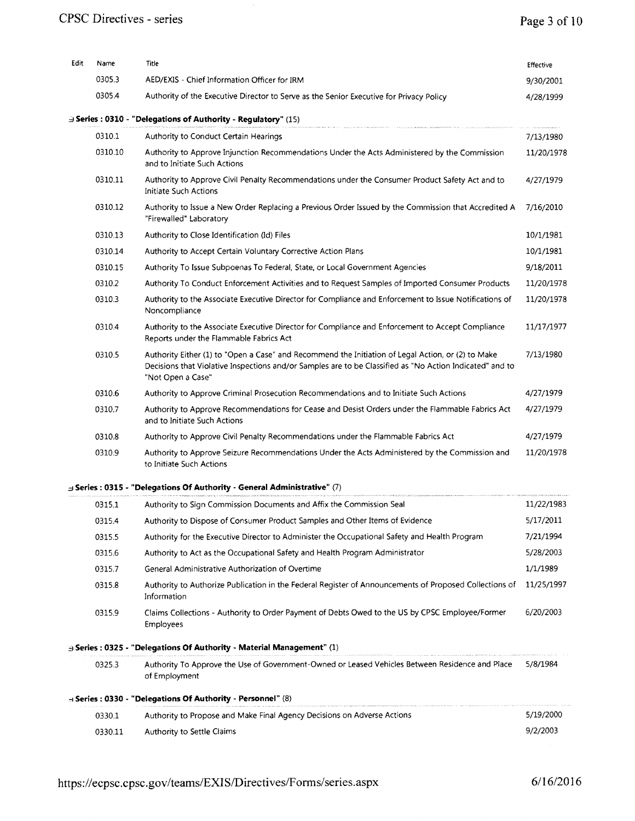| Edit | Name    | Title                                                                                                                                                                                                                               | Effective  |
|------|---------|-------------------------------------------------------------------------------------------------------------------------------------------------------------------------------------------------------------------------------------|------------|
|      | 0305.3  | AED/EXIS - Chief Information Officer for IRM                                                                                                                                                                                        | 9/30/2001  |
|      | 0305.4  | Authority of the Executive Director to Serve as the Senior Executive for Privacy Policy                                                                                                                                             | 4/28/1999  |
|      |         | $\exists$ Series : 0310 - "Delegations of Authority - Requiatory" (15)                                                                                                                                                              |            |
|      | 0310.1  | Authority to Conduct Certain Hearings                                                                                                                                                                                               | 7/13/1980  |
|      | 0310.10 | Authority to Approve Injunction Recommendations Under the Acts Administered by the Commission<br>and to Initiate Such Actions                                                                                                       | 11/20/1978 |
|      | 0310.11 | Authority to Approve Civil Penalty Recommendations under the Consumer Product Safety Act and to<br><b>Initiate Such Actions</b>                                                                                                     | 4/27/1979  |
|      | 0310.12 | Authority to Issue a New Order Replacing a Previous Order Issued by the Commission that Accredited A<br>"Firewalled" Laboratory                                                                                                     | 7/16/2010  |
|      | 0310.13 | Authority to Close Identification (Id) Files                                                                                                                                                                                        | 10/1/1981  |
|      | 0310.14 | Authority to Accept Certain Voluntary Corrective Action Plans                                                                                                                                                                       | 10/1/1981  |
|      | 0310.15 | Authority To Issue Subpoenas To Federal, State, or Local Government Agencies                                                                                                                                                        | 9/18/2011  |
|      | 0310.2  | Authority To Conduct Enforcement Activities and to Request Samples of Imported Consumer Products                                                                                                                                    | 11/20/1978 |
|      | 0310.3  | Authority to the Associate Executive Director for Compliance and Enforcement to Issue Notifications of<br>Noncompliance                                                                                                             | 11/20/1978 |
|      | 0310.4  | Authority to the Associate Executive Director for Compliance and Enforcement to Accept Compliance<br>Reports under the Flammable Fabrics Act                                                                                        | 11/17/1977 |
|      | 0310.5  | Authority Either (1) to "Open a Case" and Recommend the Initiation of Legal Action, or (2) to Make<br>Decisions that Violative Inspections and/or Samples are to be Classified as "No Action Indicated" and to<br>"Not Open a Case" | 7/13/1980  |
|      | 0310.6  | Authority to Approve Criminal Prosecution Recommendations and to Initiate Such Actions                                                                                                                                              | 4/27/1979  |
|      | 0310.7  | Authority to Approve Recommendations for Cease and Desist Orders under the Flammable Fabrics Act<br>and to Initiate Such Actions                                                                                                    | 4/27/1979  |
|      | 0310.8  | Authority to Approve Civil Penalty Recommendations under the Flammable Fabrics Act                                                                                                                                                  | 4/27/1979  |
|      | 0310.9  | Authority to Approve Seizure Recommendations Under the Acts Administered by the Commission and<br>to Initiate Such Actions                                                                                                          | 11/20/1978 |
|      |         | Series: 0315 - "Delegations Of Authority - General Administrative" (7)                                                                                                                                                              |            |
|      | 0315.1  | Authority to Sign Commission Documents and Affix the Commission Seal                                                                                                                                                                | 11/22/1983 |
|      | 0315.4  | Authority to Dispose of Consumer Product Samples and Other Items of Evidence                                                                                                                                                        | 5/17/2011  |
|      | 0315.5  | Authority for the Executive Director to Administer the Occupational Safety and Health Program                                                                                                                                       | 7/21/1994  |
|      | 0315.6  | Authority to Act as the Occupational Safety and Health Program Administrator                                                                                                                                                        | 5/28/2003  |
|      | 0315.7  | General Administrative Authorization of Overtime                                                                                                                                                                                    | 1/1/1989   |
|      | 0315.8  | Authority to Authorize Publication in the Federal Register of Announcements of Proposed Collections of<br>Information                                                                                                               | 11/25/1997 |
|      | 0315.9  | Claims Collections - Authority to Order Payment of Debts Owed to the US by CPSC Employee/Former<br><b>Employees</b>                                                                                                                 | 6/20/2003  |
|      |         | $\exists$ Series: 0325 - "Delegations Of Authority - Material Management" (1)                                                                                                                                                       |            |
|      | 0325.3  | Authority To Approve the Use of Government-Owned or Leased Vehicles Between Residence and Place<br>of Employment                                                                                                                    | 5/8/1984   |
|      |         | B Series: 0330 - "Delegations Of Authority - Personnel" (8)                                                                                                                                                                         |            |
|      | 0330.1  | Authority to Propose and Make Final Agency Decisions on Adverse Actions                                                                                                                                                             | 5/19/2000  |
|      | 0330.11 | Authority to Settle Claims                                                                                                                                                                                                          | 9/2/2003   |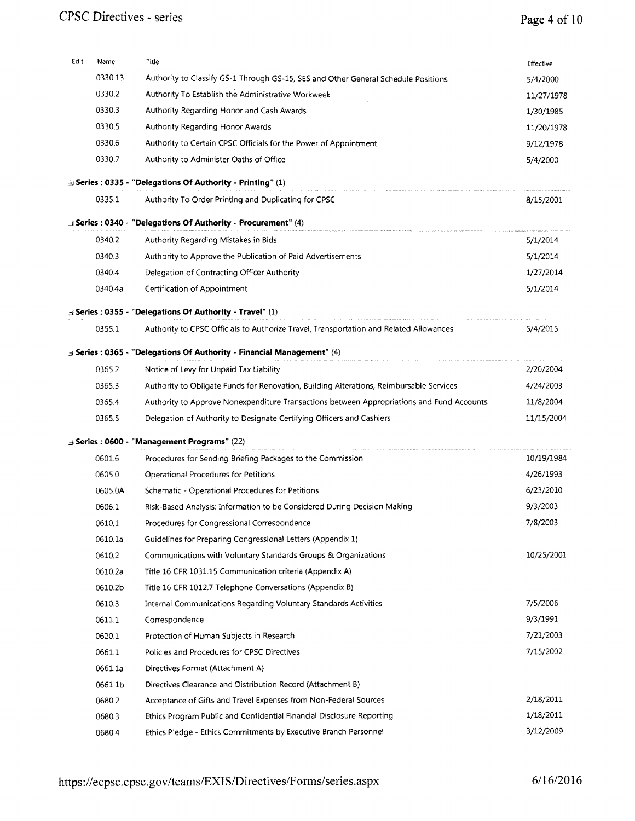#### **CPSC Directives - series**

# **Page 4of10**

| Edit | Name    | Title                                                                                                                                            | Effective  |
|------|---------|--------------------------------------------------------------------------------------------------------------------------------------------------|------------|
|      | 0330.13 | Authority to Classify GS-1 Through GS-15, SES and Other General Schedule Positions                                                               | 5/4/2000   |
|      | 0330.2  | Authority To Establish the Administrative Workweek                                                                                               | 11/27/1978 |
|      | 0330.3  | Authority Regarding Honor and Cash Awards                                                                                                        | 1/30/1985  |
|      | 0330.5  | Authority Regarding Honor Awards                                                                                                                 | 11/20/1978 |
|      | 0330.6  | Authority to Certain CPSC Officials for the Power of Appointment                                                                                 | 9/12/1978  |
|      | 0330.7  | Authority to Administer Oaths of Office                                                                                                          | 5/4/2000   |
|      |         | $\oplus$ Series : 0335 - "Delegations Of Authority - Printing" (1)                                                                               |            |
|      | 0335.1  | Authority To Order Printing and Duplicating for CPSC                                                                                             | 8/15/2001  |
|      |         | $\exists$ Series : 0340 - "Delegations Of Authority - Procurement" (4)                                                                           |            |
|      | 0340.2  | Authority Regarding Mistakes in Bids                                                                                                             | 5/1/2014   |
|      | 0340.3  | Authority to Approve the Publication of Paid Advertisements                                                                                      | 5/1/2014   |
|      | 0340.4  | Delegation of Contracting Officer Authority                                                                                                      | 1/27/2014  |
|      | 0340.4a | Certification of Appointment                                                                                                                     | 5/1/2014   |
|      |         |                                                                                                                                                  |            |
|      | 0355.1  | Series: 0355 - "Delegations Of Authority - Travel" (1)<br>Authority to CPSC Officials to Authorize Travel, Transportation and Related Allowances | 5/4/2015   |
|      |         |                                                                                                                                                  |            |
|      |         | $\exists$ Series : 0365 - "Delegations Of Authority - Financial Management" (4)                                                                  |            |
|      | 0365.2  | Notice of Levy for Unpaid Tax Liability                                                                                                          | 2/20/2004  |
|      | 0365.3  | Authority to Obligate Funds for Renovation, Building Alterations, Reimbursable Services                                                          | 4/24/2003  |
|      | 0365.4  | Authority to Approve Nonexpenditure Transactions between Appropriations and Fund Accounts                                                        | 11/8/2004  |
|      | 0365.5  | Delegation of Authority to Designate Certifying Officers and Cashiers                                                                            | 11/15/2004 |
|      |         | $\exists$ Series : 0600 - "Management Programs" (22)                                                                                             |            |
|      | 0601.6  | Procedures for Sending Briefing Packages to the Commission                                                                                       | 10/19/1984 |
|      | 0605.0  | Operational Procedures for Petitions                                                                                                             | 4/26/1993  |
|      | 0605.0A | Schematic - Operational Procedures for Petitions                                                                                                 | 6/23/2010  |
|      | 0606.1  | Risk-Based Analysis: Information to be Considered During Decision Making                                                                         | 9/3/2003   |
|      | 0610.1  | Procedures for Congressional Correspondence                                                                                                      | 7/8/2003   |
|      | 0610.1a | Guidelines for Preparing Congressional Letters (Appendix 1)                                                                                      |            |
|      | 0610.2  | Communications with Voluntary Standards Groups & Organizations                                                                                   | 10/25/2001 |
|      | 0610.2a | Title 16 CFR 1031.15 Communication criteria (Appendix A)                                                                                         |            |
|      | 0610.2b | Title 16 CFR 1012.7 Telephone Conversations (Appendix B)                                                                                         |            |
|      | 0610.3  | Internal Communications Regarding Voluntary Standards Activities                                                                                 | 7/5/2006   |
|      | 0611.1  | Correspondence                                                                                                                                   | 9/3/1991   |
|      | 0620.1  | Protection of Human Subjects in Research                                                                                                         | 7/21/2003  |
|      | 0661.1  | Policies and Procedures for CPSC Directives                                                                                                      | 7/15/2002  |
|      | 0661.1a | Directives Format (Attachment A)                                                                                                                 |            |
|      | 0661.1b | Directives Clearance and Distribution Record (Attachment B)                                                                                      |            |
|      | 0680.2  | Acceptance of Gifts and Travel Expenses from Non-Federal Sources                                                                                 | 2/18/2011  |
|      | 0680.3  | Ethics Program Public and Confidential Financial Disclosure Reporting                                                                            | 1/18/2011  |
|      | 0680.4  | Ethics Pledge - Ethics Commitments by Executive Branch Personnel                                                                                 | 3/12/2009  |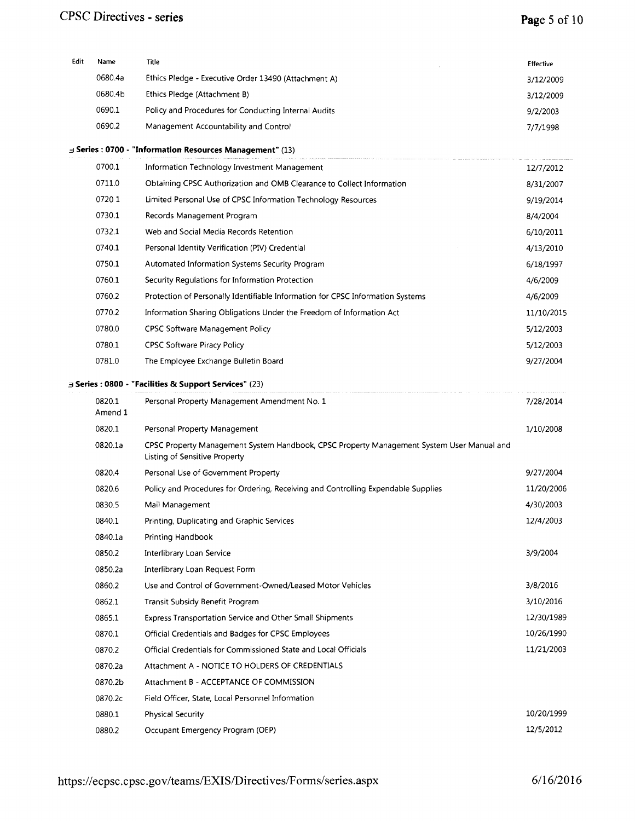#### **CPSC Directives** ~ **series**

# **Page 5of10**

| Edit | Name              | Title                                                                                                                      | Effective  |
|------|-------------------|----------------------------------------------------------------------------------------------------------------------------|------------|
|      | 0680.4a           | Ethics Pledge - Executive Order 13490 (Attachment A)                                                                       | 3/12/2009  |
|      | 0680.4b           | Ethics Pledge (Attachment B)                                                                                               | 3/12/2009  |
|      | 0690.1            | Policy and Procedures for Conducting Internal Audits                                                                       | 9/2/2003   |
|      | 0690.2            | Management Accountability and Control                                                                                      | 7/7/1998   |
|      |                   | $\exists$ Series : 0700 - "Information Resources Management" (13)                                                          |            |
|      | 0700.1            | Information Technology Investment Management                                                                               | 12/7/2012  |
|      | 0711.0            | Obtaining CPSC Authorization and OMB Clearance to Collect Information                                                      | 8/31/2007  |
|      | 07201             | Limited Personal Use of CPSC Information Technology Resources                                                              | 9/19/2014  |
|      | 0730.1            | Records Management Program                                                                                                 | 8/4/2004   |
|      | 0732.1            | Web and Social Media Records Retention                                                                                     | 6/10/2011  |
|      | 0740.1            | Personal Identity Verification (PIV) Credential                                                                            | 4/13/2010  |
|      | 0750.1            | Automated Information Systems Security Program                                                                             | 6/18/1997  |
|      | 0760.1            | Security Regulations for Information Protection                                                                            | 4/6/2009   |
|      | 0760.2            | Protection of Personally Identifiable Information for CPSC Information Systems                                             | 4/6/2009   |
|      | 0770.2            | Information Sharing Obligations Under the Freedom of Information Act                                                       | 11/10/2015 |
|      | 0780.0            | <b>CPSC Software Management Policy</b>                                                                                     | 5/12/2003  |
|      | 0780.1            | <b>CPSC Software Piracy Policy</b>                                                                                         | 5/12/2003  |
|      | 0781.0            | The Employee Exchange Bulletin Board                                                                                       | 9/27/2004  |
|      |                   | $\exists$ Series : 0800 - "Facilities & Support Services" (23)                                                             |            |
|      | 0820.1<br>Amend 1 | Personal Property Management Amendment No. 1                                                                               | 7/28/2014  |
|      | 0820.1            | Personal Property Management                                                                                               | 1/10/2008  |
|      | 0820.1a           | CPSC Property Management System Handbook, CPSC Property Management System User Manual and<br>Listing of Sensitive Property |            |
|      | 0820.4            | Personal Use of Government Property                                                                                        | 9/27/2004  |
|      | 0820.6            | Policy and Procedures for Ordering, Receiving and Controlling Expendable Supplies                                          | 11/20/2006 |
|      | 0830.5            | Mail Management                                                                                                            | 4/30/2003  |
|      | 0840.1            | Printing, Duplicating and Graphic Services                                                                                 | 12/4/2003  |
|      | 0840.1a           | Printing Handbook                                                                                                          |            |
|      | 0850.2            | Interlibrary Loan Service                                                                                                  | 3/9/2004   |
|      | 0850.2a           | Interlibrary Loan Request Form                                                                                             |            |
|      | 0860.2            | Use and Control of Government-Owned/Leased Motor Vehicles                                                                  | 3/8/2016   |
|      | 0862.1            | Transit Subsidy Benefit Program                                                                                            | 3/10/2016  |
|      | 0865.1            | Express Transportation Service and Other Small Shipments                                                                   | 12/30/1989 |
|      | 0870.1            | Official Credentials and Badges for CPSC Employees                                                                         | 10/26/1990 |
|      | 0870.2            | Official Credentials for Commissioned State and Local Officials                                                            | 11/21/2003 |
|      | 0870.2a           | Attachment A - NOTICE TO HOLDERS OF CREDENTIALS                                                                            |            |
|      | 0870.2b           | Attachment B - ACCEPTANCE OF COMMISSION                                                                                    |            |
|      | 0870.2c           | Field Officer, State, Local Personnel Information                                                                          |            |
|      | 0880.1            | <b>Physical Security</b>                                                                                                   | 10/20/1999 |
|      | 0880.2            | Occupant Emergency Program (OEP)                                                                                           | 12/5/2012  |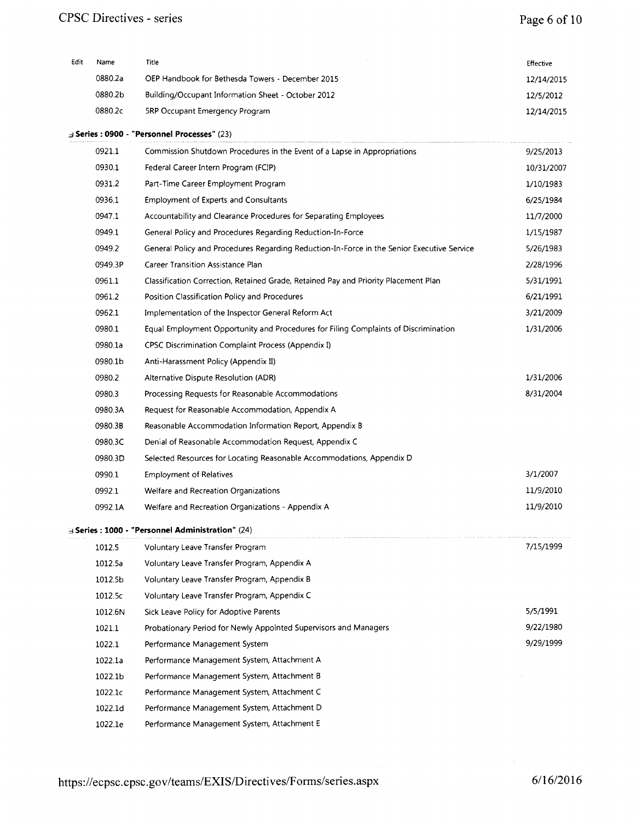| Edit | Name    | Title                                              | <b>Effective</b> |
|------|---------|----------------------------------------------------|------------------|
|      | 0880.2a | OEP Handbook for Bethesda Towers - December 2015   | 12/14/2015       |
|      | 0880.2b | Building/Occupant Information Sheet - October 2012 | 12/5/2012        |
|      | 0880.2c | <b>5RP Occupant Emergency Program</b>              | 12/14/2015       |

*=J* **Series: 0900 - "Personnel Processes"** (23)

| 0921.1  | Commission Shutdown Procedures in the Event of a Lapse in Appropriations                   | 9/25/2013  |
|---------|--------------------------------------------------------------------------------------------|------------|
| 0930.1  | Federal Career Intern Program (FCIP)                                                       | 10/31/2007 |
| 0931.2  | Part-Time Career Employment Program                                                        | 1/10/1983  |
| 0936.1  | <b>Employment of Experts and Consultants</b>                                               | 6/25/1984  |
| 0947.1  | Accountability and Clearance Procedures for Separating Employees                           | 11/7/2000  |
| 0949.1  | General Policy and Procedures Regarding Reduction-In-Force                                 | 1/15/1987  |
| 0949.2  | General Policy and Procedures Regarding Reduction-In-Force in the Senior Executive Service | 5/26/1983  |
| 0949.3P | Career Transition Assistance Plan                                                          | 2/28/1996  |
| 0961.1  | Classification Correction, Retained Grade, Retained Pay and Priority Placement Plan        | 5/31/1991  |
| 0961.2  | Position Classification Policy and Procedures                                              | 6/21/1991  |
| 0962.1  | Implementation of the Inspector General Reform Act                                         | 3/21/2009  |
| 0980.1  | Equal Employment Opportunity and Procedures for Filing Complaints of Discrimination        | 1/31/2006  |
| 0980.1a | CPSC Discrimination Complaint Process (Appendix I)                                         |            |
| 0980.1b | Anti-Harassment Policy (Appendix II)                                                       |            |
| 0980.2  | Alternative Dispute Resolution (ADR)                                                       | 1/31/2006  |
| 0980.3  | Processing Requests for Reasonable Accommodations                                          | 8/31/2004  |
| 0980.3A | Request for Reasonable Accommodation, Appendix A                                           |            |
| 0980.3B | Reasonable Accommodation Information Report, Appendix B                                    |            |
| 0980.3C | Denial of Reasonable Accommodation Request, Appendix C                                     |            |
| 0980.3D | Selected Resources for Locating Reasonable Accommodations, Appendix D                      |            |
| 0990.1  | <b>Employment of Relatives</b>                                                             | 3/1/2007   |
| 0992.1  | Welfare and Recreation Organizations                                                       | 11/9/2010  |
| 0992.1A | Welfare and Recreation Organizations - Appendix A                                          | 11/9/2010  |
|         | $\exists$ Series : 1000 - "Personnel Administration" (24)                                  |            |
| 1012.5  | Voluntary Leave Transfer Program                                                           | 7/15/1999  |
| 1012.5a | Voluntary Leave Transfer Program, Appendix A                                               |            |
| 1012.5b | Voluntary Leave Transfer Program, Appendix B                                               |            |
| 1012.5c | Voluntary Leave Transfer Program, Appendix C                                               |            |
| 1012.6N | Sick Leave Policy for Adoptive Parents                                                     | 5/5/1991   |
| 1021.1  | Probationary Period for Newly Appointed Supervisors and Managers                           | 9/22/1980  |
| 1022.1  | Performance Management System                                                              | 9/29/1999  |
| 1022.1a | Performance Management System, Attachment A                                                |            |
| 1022.1b | Performance Management System, Attachment B                                                |            |
| 1022.1c | Performance Management System, Attachment C                                                |            |
| 1022.1d | Performance Management System, Attachment D                                                |            |
| 1022.1e | Performance Management System, Attachment E                                                |            |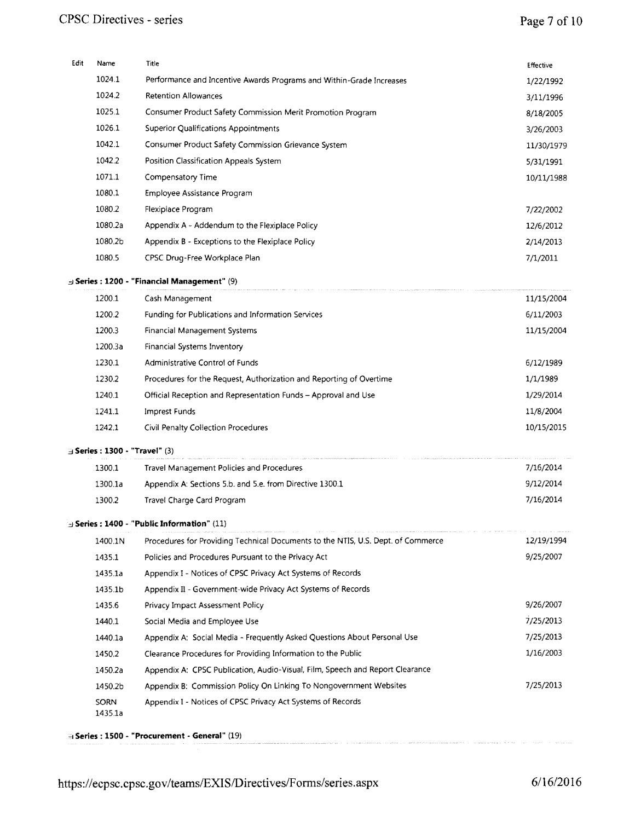| Edit | Name                                   | Title                                                                            | Effective  |
|------|----------------------------------------|----------------------------------------------------------------------------------|------------|
|      | 1024.1                                 | Performance and Incentive Awards Programs and Within-Grade Increases             | 1/22/1992  |
|      | 1024.2                                 | <b>Retention Allowances</b>                                                      | 3/11/1996  |
|      | 1025.1                                 | Consumer Product Safety Commission Merit Promotion Program                       | 8/18/2005  |
|      | 1026.1                                 | <b>Superior Qualifications Appointments</b>                                      | 3/26/2003  |
|      | 1042.1                                 | Consumer Product Safety Commission Grievance System                              | 11/30/1979 |
|      | 1042.2                                 | Position Classification Appeals System                                           | 5/31/1991  |
|      | 1071.1                                 | Compensatory Time                                                                | 10/11/1988 |
|      | 1080.1                                 | Employee Assistance Program                                                      |            |
|      | 1080.2                                 | Flexiplace Program                                                               | 7/22/2002  |
|      | 1080.2a                                | Appendix A - Addendum to the Flexiplace Policy                                   | 12/6/2012  |
|      | 1080.2b                                | Appendix B - Exceptions to the Flexiplace Policy                                 | 2/14/2013  |
|      | 1080.5                                 | CPSC Drug-Free Workplace Plan                                                    | 7/1/2011   |
|      |                                        | 9) Series: 1200 - "Financial Management" (9)                                     |            |
|      | 1200.1                                 | Cash Management                                                                  | 11/15/2004 |
|      | 1200.2                                 | Funding for Publications and Information Services                                | 6/11/2003  |
|      | 1200.3                                 | <b>Financial Management Systems</b>                                              | 11/15/2004 |
|      | 1200.3a                                | Financial Systems Inventory                                                      |            |
|      | 1230.1                                 | Administrative Control of Funds                                                  | 6/12/1989  |
|      | 1230.2                                 | Procedures for the Request, Authorization and Reporting of Overtime              | 1/1/1989   |
|      | 1240.1                                 | Official Reception and Representation Funds – Approval and Use                   | 1/29/2014  |
|      | 1241.1                                 | Imprest Funds                                                                    | 11/8/2004  |
|      | 1242.1                                 | Civil Penalty Collection Procedures                                              | 10/15/2015 |
|      | $\exists$ Series : 1300 - "Travel" (3) |                                                                                  |            |
|      | 1300.1                                 | Travel Management Policies and Procedures                                        | 7/16/2014  |
|      | 1300.1a                                | Appendix A: Sections 5.b. and 5.e. from Directive 1300.1                         | 9/12/2014  |
|      | 1300.2                                 | Travel Charge Card Program                                                       | 7/16/2014  |
|      |                                        | $\exists$ Series : 1400 - "Public Information" (11)                              |            |
|      | 1400.1N                                | Procedures for Providing Technical Documents to the NTIS, U.S. Dept. of Commerce | 12/19/1994 |
|      | 1435.1                                 | Policies and Procedures Pursuant to the Privacy Act                              | 9/25/2007  |
|      | 1435.1a                                | Appendix I - Notices of CPSC Privacy Act Systems of Records                      |            |
|      | 1435.1b                                | Appendix II - Government-wide Privacy Act Systems of Records                     |            |
|      | 1435.6                                 | Privacy Impact Assessment Policy                                                 | 9/26/2007  |
|      | 1440.1                                 | Social Media and Employee Use                                                    | 7/25/2013  |
|      | 1440.1a                                | Appendix A: Social Media - Frequently Asked Questions About Personal Use         | 7/25/2013  |
|      | 1450.2                                 | Clearance Procedures for Providing Information to the Public                     | 1/16/2003  |
|      | 1450.2a                                | Appendix A: CPSC Publication, Audio-Visual, Film, Speech and Report Clearance    |            |
|      | 1450.2b                                | Appendix B: Commission Policy On Linking To Nongovernment Websites               | 7/25/2013  |
|      | <b>SORN</b><br>1435.1a                 | Appendix I - Notices of CPSC Privacy Act Systems of Records                      |            |
|      |                                        | El Series : 1500 - "Procurement - General" (19)                                  |            |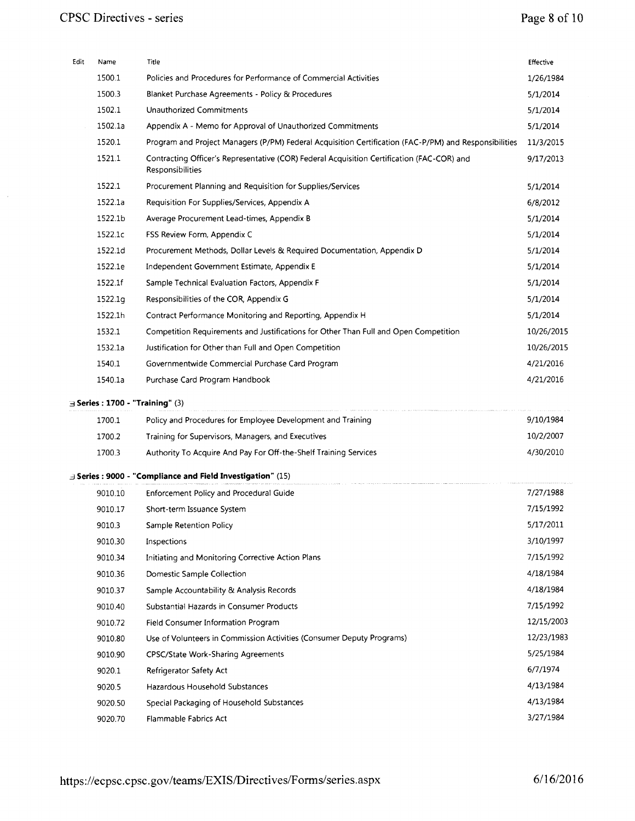$\hat{\boldsymbol{\beta}}$ 

| Edit | Name                                    | Title                                                                                                          | Effective  |
|------|-----------------------------------------|----------------------------------------------------------------------------------------------------------------|------------|
|      | 1500.1                                  | Policies and Procedures for Performance of Commercial Activities                                               | 1/26/1984  |
|      | 1500.3                                  | Blanket Purchase Agreements - Policy & Procedures                                                              | 5/1/2014   |
|      | 1502.1                                  | Unauthorized Commitments                                                                                       | 5/1/2014   |
|      | 1502.1a                                 | Appendix A - Memo for Approval of Unauthorized Commitments                                                     | 5/1/2014   |
|      | 1520.1                                  | Program and Project Managers (P/PM) Federal Acquisition Certification (FAC-P/PM) and Responsibilities          | 11/3/2015  |
|      | 1521.1                                  | Contracting Officer's Representative (COR) Federal Acquisition Certification (FAC-COR) and<br>Responsibilities | 9/17/2013  |
|      | 1522.1                                  | Procurement Planning and Requisition for Supplies/Services                                                     | 5/1/2014   |
|      | 1522.1a                                 | Requisition For Supplies/Services, Appendix A                                                                  | 6/8/2012   |
|      | 1522.1b                                 | Average Procurement Lead-times, Appendix B                                                                     | 5/1/2014   |
|      | 1522.1c                                 | FSS Review Form, Appendix C                                                                                    | 5/1/2014   |
|      | 1522.1d                                 | Procurement Methods, Dollar Levels & Required Documentation, Appendix D                                        | 5/1/2014   |
|      | 1522.1e                                 | Independent Government Estimate, Appendix E                                                                    | 5/1/2014   |
|      | 1522.1f                                 | Sample Technical Evaluation Factors, Appendix F                                                                | 5/1/2014   |
|      | 1522.1a                                 | Responsibilities of the COR, Appendix G                                                                        | 5/1/2014   |
|      | 1522.1h                                 | Contract Performance Monitoring and Reporting, Appendix H.                                                     | 5/1/2014   |
|      | 1532.1                                  | Competition Requirements and Justifications for Other Than Full and Open Competition                           | 10/26/2015 |
|      | 1532.1a                                 | Justification for Other than Full and Open Competition                                                         | 10/26/2015 |
|      | 1540.1                                  | Governmentwide Commercial Purchase Card Program                                                                | 4/21/2016  |
|      | 1540.1a                                 | Purchase Card Program Handbook                                                                                 | 4/21/2016  |
|      | $\exists$ Series: 1700 - "Training" (3) |                                                                                                                |            |
|      | 1700.1                                  | Policy and Procedures for Employee Development and Training                                                    | 9/10/1984  |
|      | 1700.2                                  | Training for Supervisors, Managers, and Executives                                                             | 10/2/2007  |
|      | 1700.3                                  | Authority To Acquire And Pay For Off-the-Shelf Training Services                                               | 4/30/2010  |
|      |                                         | <b>Example 15 Series: 9000 - "Compliance and Field Investigation"</b> (15)                                     |            |
|      | 9010.10                                 | Enforcement Policy and Procedural Guide                                                                        | 7/27/1988  |
|      | 9010.17                                 | Short-term Issuance System                                                                                     | 7/15/1992  |
|      | 9010.3                                  | Sample Retention Policy                                                                                        | 5/17/2011  |
|      | 9010.30                                 | Inspections                                                                                                    | 3/10/1997  |
|      | 9010.34                                 | Initiating and Monitoring Corrective Action Plans                                                              | 7/15/1992  |
|      | 9010.36                                 | Domestic Sample Collection                                                                                     | 4/18/1984  |
|      | 9010.37                                 | Sample Accountability & Analysis Records                                                                       | 4/18/1984  |
|      | 9010.40                                 | Substantial Hazards in Consumer Products                                                                       | 7/15/1992  |
|      | 9010.72                                 | Field Consumer Information Program                                                                             | 12/15/2003 |
|      | 9010.80                                 | Use of Volunteers in Commission Activities (Consumer Deputy Programs)                                          | 12/23/1983 |
|      | 9010.90                                 | CPSC/State Work-Sharing Agreements                                                                             | 5/25/1984  |
|      |                                         |                                                                                                                |            |
|      | 9020.1                                  | Refrigerator Safety Act                                                                                        | 6/7/1974   |
|      | 9020.5                                  | Hazardous Household Substances                                                                                 | 4/13/1984  |
|      | 9020.50                                 | Special Packaging of Household Substances                                                                      | 4/13/1984  |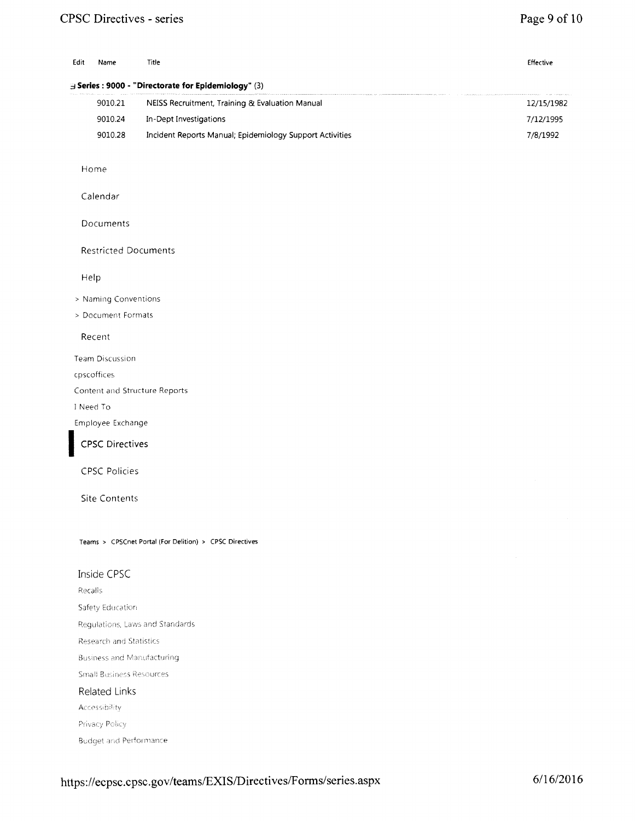#### CPSC Directives - series

#### Page 9 of 10

| Edit | Name    | Title                                                        | Effective  |
|------|---------|--------------------------------------------------------------|------------|
|      |         | $\exists$ Series : 9000 - "Directorate for Epidemiology" (3) |            |
|      | 9010.21 | NEISS Recruitment, Training & Evaluation Manual              | 12/15/1982 |
|      | 9010.24 | In-Dept Investigations                                       | 7/12/1995  |
|      | 9010.28 | Incident Reports Manual; Epidemiology Support Activities     | 7/8/1992   |
|      | Home    |                                                              |            |

Calendar

Documents

Restricted Documents

Help

> Naming Conventions

> Document Formats

Recent

Team Discussion

cpscoffices

Content and Structure Reports

I Need To

Employee Exchange<br>
CPSC Directives

CPSC Policies

Site Contents

Teams > CPSCnet Portal (For Delition) > CPSC Directives

#### Inside CPSC

Recalls Safety Education Regulations, Laws and Standards **Research and Statistics Business and Manufacturing Small Business Resources** Related Links Accessibility Privacy Policy

**Budget and Performance**